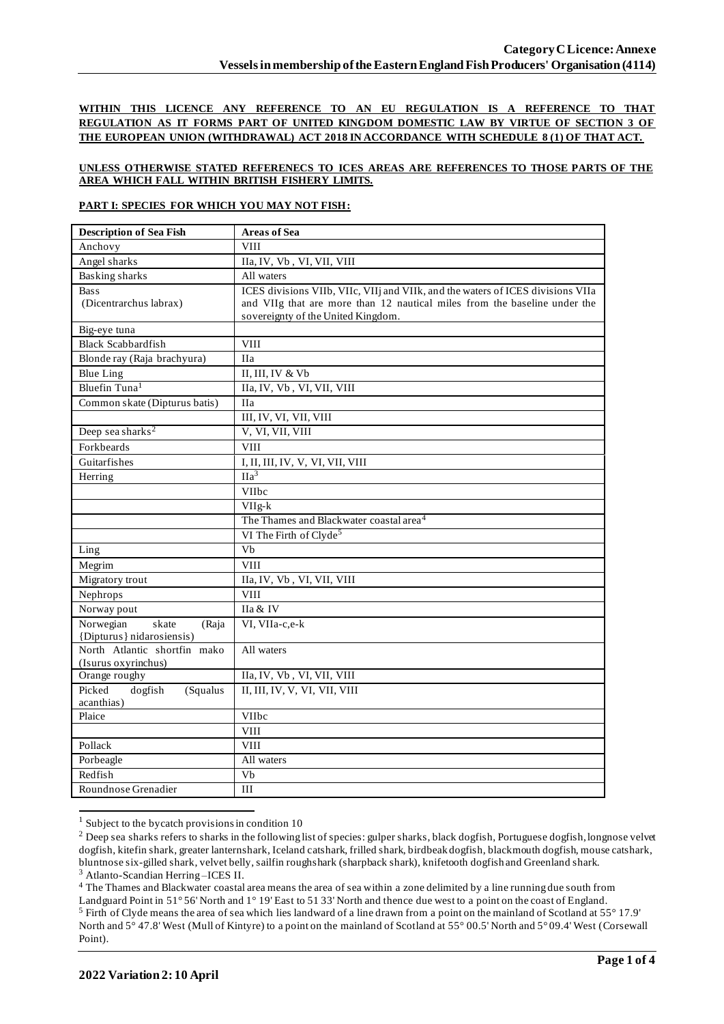**WITHIN THIS LICENCE ANY REFERENCE TO AN EU REGULATION IS A REFERENCE TO THAT REGULATION AS IT FORMS PART OF UNITED KINGDOM DOMESTIC LAW BY VIRTUE OF SECTION 3 OF THE EUROPEAN UNION (WITHDRAWAL) ACT 2018 IN ACCORDANCE WITH SCHEDULE 8 (1) OF THAT ACT.**

## **UNLESS OTHERWISE STATED REFERENECS TO ICES AREAS ARE REFERENCES TO THOSE PARTS OF THE AREA WHICH FALL WITHIN BRITISH FISHERY LIMITS.**

### **PART I: SPECIES FOR WHICH YOU MAY NOT FISH:**

| <b>Description of Sea Fish</b>                 | <b>Areas of Sea</b>                                                             |  |  |
|------------------------------------------------|---------------------------------------------------------------------------------|--|--|
| Anchovy                                        | <b>VIII</b>                                                                     |  |  |
| Angel sharks                                   | IIa, IV, Vb, VI, VII, VIII                                                      |  |  |
| <b>Basking sharks</b>                          | All waters                                                                      |  |  |
| <b>Bass</b>                                    | ICES divisions VIIb, VIIc, VIIj and VIIk, and the waters of ICES divisions VIIa |  |  |
| (Dicentrarchus labrax)                         | and VIIg that are more than 12 nautical miles from the baseline under the       |  |  |
|                                                | sovereignty of the United Kingdom.                                              |  |  |
| Big-eye tuna                                   |                                                                                 |  |  |
| <b>Black Scabbardfish</b>                      | VIII                                                                            |  |  |
| Blonde ray (Raja brachyura)                    | <b>IIa</b>                                                                      |  |  |
| <b>Blue Ling</b>                               | II, III, IV & Vb                                                                |  |  |
| Bluefin Tuna <sup>1</sup>                      | IIa, IV, Vb, VI, VII, VIII                                                      |  |  |
| Common skate (Dipturus batis)                  | <b>IIa</b>                                                                      |  |  |
|                                                | III, IV, VI, VII, VIII                                                          |  |  |
| Deep sea sharks <sup>2</sup>                   | V, VI, VII, VIII                                                                |  |  |
| Forkbeards                                     | <b>VIII</b>                                                                     |  |  |
| Guitarfishes                                   | I, II, III, IV, V, VI, VII, VIII                                                |  |  |
| Herring                                        | IIa <sup>3</sup>                                                                |  |  |
|                                                | VIIbc                                                                           |  |  |
|                                                | $VIIg-k$                                                                        |  |  |
|                                                | The Thames and Blackwater coastal area <sup>4</sup>                             |  |  |
|                                                | VI The Firth of Clyde <sup>5</sup>                                              |  |  |
| Ling                                           | Vb                                                                              |  |  |
| Megrim                                         | <b>VIII</b>                                                                     |  |  |
| Migratory trout                                | IIa, IV, Vb, VI, VII, VIII                                                      |  |  |
| Nephrops                                       | <b>VIII</b>                                                                     |  |  |
| Norway pout                                    | IIa & IV                                                                        |  |  |
| Norwegian<br>skate<br>(Raja                    | VI, VIIa-c,e-k                                                                  |  |  |
| {Dipturus} nidarosiensis}                      |                                                                                 |  |  |
| North Atlantic shortfin mako                   | All waters                                                                      |  |  |
| (Isurus oxyrinchus)                            | IIa, IV, Vb, VI, VII, VIII                                                      |  |  |
| Orange roughy<br>Picked<br>dogfish<br>(Squalus | II, III, IV, V, VI, VII, VIII                                                   |  |  |
| acanthias)                                     |                                                                                 |  |  |
| Plaice                                         | VIIbc                                                                           |  |  |
|                                                | <b>VIII</b>                                                                     |  |  |
| Pollack                                        | <b>VIII</b>                                                                     |  |  |
| Porbeagle                                      | All waters                                                                      |  |  |
| Redfish                                        | Vb                                                                              |  |  |
|                                                | III                                                                             |  |  |
| Roundnose Grenadier                            |                                                                                 |  |  |

 $1$  Subject to the bycatch provisions in condition 10

<sup>4</sup> The Thames and Blackwater coastal area means the area of sea within a zone delimited by a line running due south from

<sup>&</sup>lt;sup>2</sup> Deep sea sharks refers to sharks in the following list of species: gulper sharks, black dogfish, Portuguese dogfish, longnose velvet dogfish, kitefin shark, greater lanternshark, Iceland catshark, frilled shark, birdbeak dogfish, blackmouth dogfish, mouse catshark, bluntnose six-gilled shark, velvet belly, sailfin roughshark (sharpback shark), knifetooth dogfish and Greenland shark. <sup>3</sup> Atlanto-Scandian Herring –ICES II.

Landguard Point in 51° 56' North and 1° 19' East to 51 33' North and thence due west to a point on the coast of England. <sup>5</sup> Firth of Clyde means the area of sea which lies landward of a line drawn from a point on the mainland of Scotland at 55° 17.9' North and 5° 47.8' West (Mull of Kintyre) to a point on the mainland of Scotland at 55° 00.5' North and 5° 09.4' West (Corsewall Point).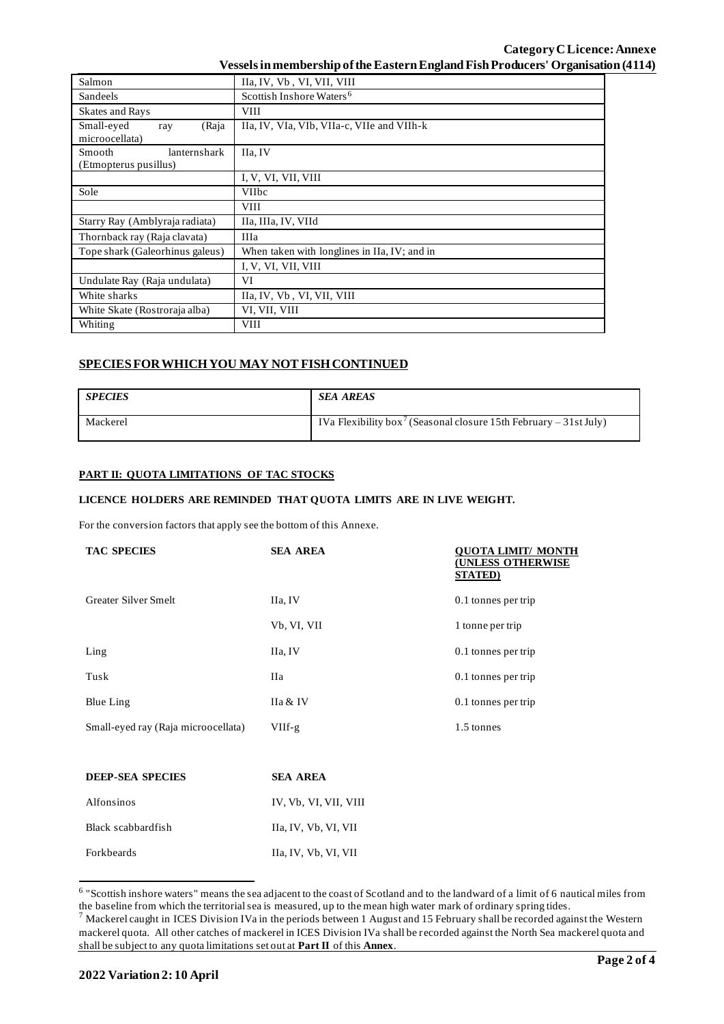| Salmon                                                 | IIa, IV, Vb, VI, VII, VIII                   |  |  |  |  |
|--------------------------------------------------------|----------------------------------------------|--|--|--|--|
| Sandeels                                               | Scottish Inshore Waters <sup>6</sup>         |  |  |  |  |
| <b>Skates and Rays</b>                                 | <b>VIII</b>                                  |  |  |  |  |
| Small-eyed<br>(Raja<br>ray<br>microocellata)           | IIa, IV, VIa, VIb, VIIa-c, VIIe and VIIh-k   |  |  |  |  |
| lanternshark<br><b>Smooth</b><br>(Etmopterus pusillus) | IIa, IV                                      |  |  |  |  |
|                                                        | I, V, VI, VII, VIII                          |  |  |  |  |
| Sole                                                   | <b>VIIbc</b>                                 |  |  |  |  |
|                                                        | <b>VIII</b>                                  |  |  |  |  |
| Starry Ray (Amblyraja radiata)                         | IIa, IIIa, IV, VIId                          |  |  |  |  |
| Thornback ray (Raja clavata)                           | <b>IIIa</b>                                  |  |  |  |  |
| Tope shark (Galeorhinus galeus)                        | When taken with longlines in IIa, IV; and in |  |  |  |  |
|                                                        | I, V, VI, VII, VIII                          |  |  |  |  |
| Undulate Ray (Raja undulata)                           | VI                                           |  |  |  |  |
| White sharks                                           | IIa, IV, Vb, VI, VII, VIII                   |  |  |  |  |
| White Skate (Rostroraja alba)                          | VI, VII, VIII                                |  |  |  |  |
| Whiting                                                | <b>VIII</b>                                  |  |  |  |  |

# **SPECIES FOR WHICH YOU MAY NOT FISH CONTINUED**

| <b>SPECIES</b> | <b>SEA AREAS</b>                                                              |
|----------------|-------------------------------------------------------------------------------|
| Mackerel       | IVa Flexibility box <sup>7</sup> (Seasonal closure 15th February – 31st July) |

### **PART II: QUOTA LIMITATIONS OF TAC STOCKS**

## **LICENCE HOLDERS ARE REMINDED THAT QUOTA LIMITS ARE IN LIVE WEIGHT.**

For the conversion factors that apply see the bottom of this Annexe.

| <b>TAC SPECIES</b>                  | <b>SEA AREA</b> | OUOTA LIMIT/ MONTH<br>UNLESS OTHERWISE<br><b>STATED</b> ) |
|-------------------------------------|-----------------|-----------------------------------------------------------|
| Greater Silver Smelt                | IIa, IV         | 0.1 tonnes per trip                                       |
|                                     | Vb, VI, VII     | 1 tonne per trip                                          |
| Ling                                | IIa, IV         | 0.1 tonnes per trip                                       |
| Tusk                                | Ha              | 0.1 tonnes per trip                                       |
| Blue Ling                           | IIa & IV        | 0.1 tonnes per trip                                       |
| Small-eyed ray (Raja microocellata) | VIIf-g          | 1.5 tonnes                                                |

| <b>DEEP-SEA SPECIES</b> | <b>SEA AREA</b>       |  |  |
|-------------------------|-----------------------|--|--|
| Alfonsinos              | IV, Vb, VI, VII, VIII |  |  |
| Black scabbardfish      | Ha, IV, Vb, VI, VII   |  |  |
| Forkbeards              | Ha, IV, Vb, VI, VII   |  |  |

<sup>&</sup>lt;sup>6</sup> "Scottish inshore waters" means the sea adjacent to the coast of Scotland and to the landward of a limit of 6 nautical miles from the baseline from which the territorial sea is measured, up to the mean high water mark of ordinary spring tides.

 $^7$  Mackerel caught in ICES Division IVa in the periods between 1 August and 15 February shall be recorded against the Western mackerel quota. All other catches of mackerel in ICES Division IVa shall be recorded against the North Sea mackerel quota and shall be subject to any quota limitations set out at **Part II** of this **Annex**.